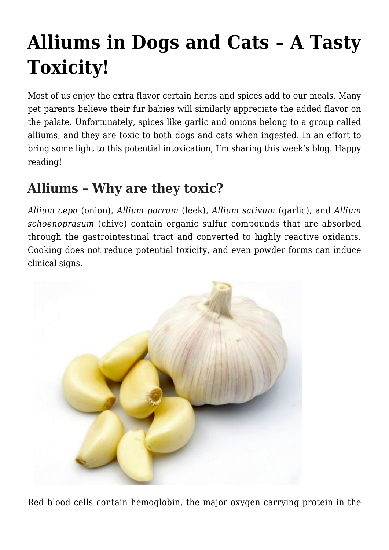# **[Alliums in Dogs and Cats – A Tasty](https://criticalcaredvm.com/alliums-dogs-cats/) [Toxicity!](https://criticalcaredvm.com/alliums-dogs-cats/)**

Most of us enjoy the extra flavor certain herbs and spices add to our meals. Many pet parents believe their fur babies will similarly appreciate the added flavor on the palate. Unfortunately, spices like garlic and onions belong to a group called alliums, and they are toxic to both dogs and cats when ingested. In an effort to bring some light to this potential intoxication, I'm sharing this week's blog. Happy reading!

## **Alliums – Why are they toxic?**

*Allium cepa* (onion), *Allium porrum* (leek), *Allium sativum* (garlic), and *Allium schoenoprasum* (chive) contain organic sulfur compounds that are absorbed through the gastrointestinal tract and converted to highly reactive oxidants. Cooking does not reduce potential toxicity, and even powder forms can induce clinical signs.



Red blood cells contain hemoglobin, the major oxygen carrying protein in the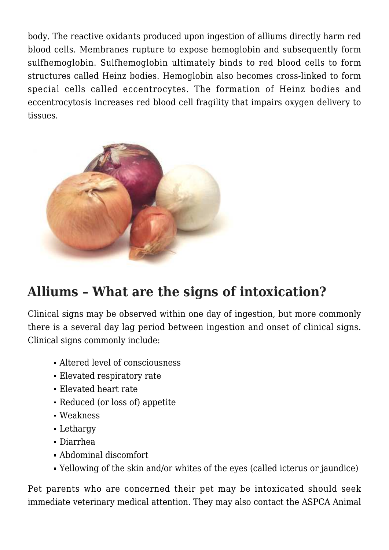body. The reactive oxidants produced upon ingestion of alliums directly harm red blood cells. Membranes rupture to expose hemoglobin and subsequently form sulfhemoglobin. Sulfhemoglobin ultimately binds to red blood cells to form structures called Heinz bodies. Hemoglobin also becomes cross-linked to form special cells called eccentrocytes. The formation of Heinz bodies and eccentrocytosis increases red blood cell fragility that impairs oxygen delivery to tissues.



#### **Alliums – What are the signs of intoxication?**

Clinical signs may be observed within one day of ingestion, but more commonly there is a several day lag period between ingestion and onset of clinical signs. Clinical signs commonly include:

- Altered level of consciousness
- Elevated respiratory rate
- Elevated heart rate
- Reduced (or loss of) appetite
- Weakness
- Lethargy
- Diarrhea
- Abdominal discomfort
- Yellowing of the skin and/or whites of the eyes (called icterus or jaundice)

Pet parents who are concerned their pet may be intoxicated should seek immediate veterinary medical attention. They may also contact the [ASPCA Animal](https://www.aspca.org/pet-care/animal-poison-control)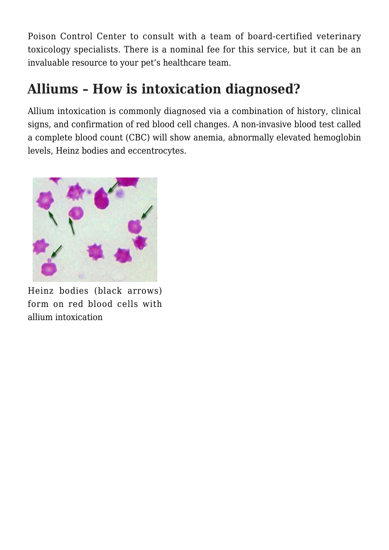[Poison Control Center](https://www.aspca.org/pet-care/animal-poison-control) to consult with a team of board-certified veterinary toxicology specialists. There is a nominal fee for this service, but it can be an invaluable resource to your pet's healthcare team.

### **Alliums – How is intoxication diagnosed?**

Allium intoxication is commonly diagnosed via a combination of history, clinical signs, and confirmation of red blood cell changes. A non-invasive blood test called a complete blood count (CBC) will show anemia, abnormally elevated hemoglobin levels, Heinz bodies and eccentrocytes.



Heinz bodies (black arrows) form on red blood cells with allium intoxication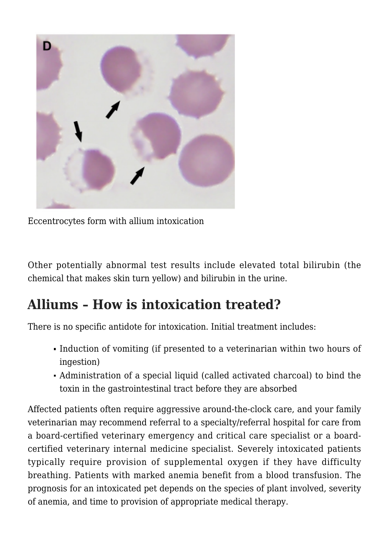

Eccentrocytes form with allium intoxication

Other potentially abnormal test results include elevated total bilirubin (the chemical that makes skin turn yellow) and bilirubin in the urine.

#### **Alliums – How is intoxication treated?**

There is no specific antidote for intoxication. Initial treatment includes:

- Induction of vomiting (if presented to a veterinarian within two hours of ingestion)
- Administration of a special liquid (called activated charcoal) to bind the toxin in the gastrointestinal tract before they are absorbed

Affected patients often require aggressive around-the-clock care, and your family veterinarian may recommend referral to a specialty/referral hospital for care from a board-certified veterinary emergency and critical care specialist or a boardcertified veterinary internal medicine specialist. Severely intoxicated patients typically require provision of supplemental oxygen if they have difficulty breathing. Patients with marked anemia benefit from a blood transfusion. The prognosis for an intoxicated pet depends on the species of plant involved, severity of anemia, and time to provision of appropriate medical therapy.